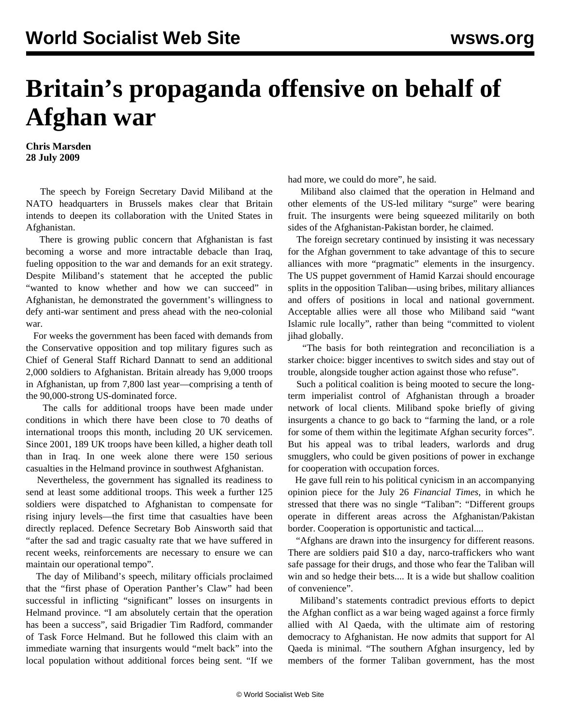## **Britain's propaganda offensive on behalf of Afghan war**

**Chris Marsden 28 July 2009**

 The speech by Foreign Secretary David Miliband at the NATO headquarters in Brussels makes clear that Britain intends to deepen its collaboration with the United States in Afghanistan.

 There is growing public concern that Afghanistan is fast becoming a worse and more intractable debacle than Iraq, fueling opposition to the war and demands for an exit strategy. Despite Miliband's statement that he accepted the public "wanted to know whether and how we can succeed" in Afghanistan, he demonstrated the government's willingness to defy anti-war sentiment and press ahead with the neo-colonial war.

 For weeks the government has been faced with demands from the Conservative opposition and top military figures such as Chief of General Staff Richard Dannatt to send an additional 2,000 soldiers to Afghanistan. Britain already has 9,000 troops in Afghanistan, up from 7,800 last year—comprising a tenth of the 90,000-strong US-dominated force.

 The calls for additional troops have been made under conditions in which there have been close to 70 deaths of international troops this month, including 20 UK servicemen. Since 2001, 189 UK troops have been killed, a higher death toll than in Iraq. In one week alone there were 150 serious casualties in the Helmand province in southwest Afghanistan.

 Nevertheless, the government has signalled its readiness to send at least some additional troops. This week a further 125 soldiers were dispatched to Afghanistan to compensate for rising injury levels—the first time that casualties have been directly replaced. Defence Secretary Bob Ainsworth said that "after the sad and tragic casualty rate that we have suffered in recent weeks, reinforcements are necessary to ensure we can maintain our operational tempo".

 The day of Miliband's speech, military officials proclaimed that the "first phase of Operation Panther's Claw" had been successful in inflicting "significant" losses on insurgents in Helmand province. "I am absolutely certain that the operation has been a success", said Brigadier Tim Radford, commander of Task Force Helmand. But he followed this claim with an immediate warning that insurgents would "melt back" into the local population without additional forces being sent. "If we had more, we could do more", he said.

 Miliband also claimed that the operation in Helmand and other elements of the US-led military "surge" were bearing fruit. The insurgents were being squeezed militarily on both sides of the Afghanistan-Pakistan border, he claimed.

 The foreign secretary continued by insisting it was necessary for the Afghan government to take advantage of this to secure alliances with more "pragmatic" elements in the insurgency. The US puppet government of Hamid Karzai should encourage splits in the opposition Taliban—using bribes, military alliances and offers of positions in local and national government. Acceptable allies were all those who Miliband said "want Islamic rule locally", rather than being "committed to violent jihad globally.

 "The basis for both reintegration and reconciliation is a starker choice: bigger incentives to switch sides and stay out of trouble, alongside tougher action against those who refuse".

 Such a political coalition is being mooted to secure the longterm imperialist control of Afghanistan through a broader network of local clients. Miliband spoke briefly of giving insurgents a chance to go back to "farming the land, or a role for some of them within the legitimate Afghan security forces". But his appeal was to tribal leaders, warlords and drug smugglers, who could be given positions of power in exchange for cooperation with occupation forces.

 He gave full rein to his political cynicism in an accompanying opinion piece for the July 26 *Financial Times*, in which he stressed that there was no single "Taliban": "Different groups operate in different areas across the Afghanistan/Pakistan border. Cooperation is opportunistic and tactical....

 "Afghans are drawn into the insurgency for different reasons. There are soldiers paid \$10 a day, narco-traffickers who want safe passage for their drugs, and those who fear the Taliban will win and so hedge their bets.... It is a wide but shallow coalition of convenience".

 Miliband's statements contradict previous efforts to depict the Afghan conflict as a war being waged against a force firmly allied with Al Qaeda, with the ultimate aim of restoring democracy to Afghanistan. He now admits that support for Al Qaeda is minimal. "The southern Afghan insurgency, led by members of the former Taliban government, has the most